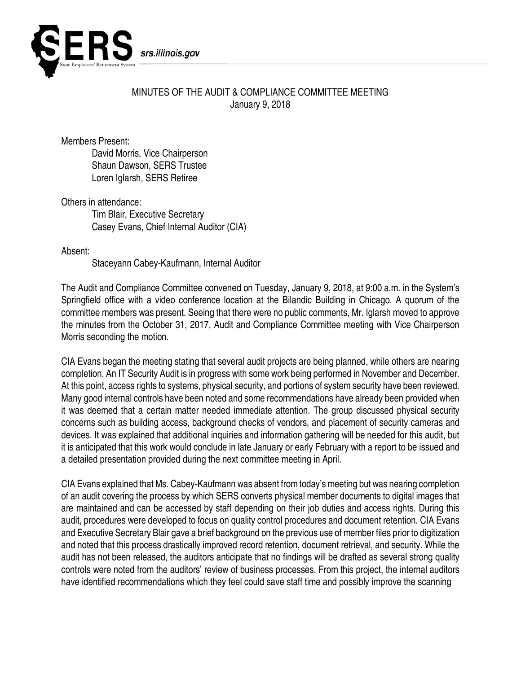

## MINUTES OF THE AUDIT & COMPLIANCE COMMITTEE MEETING January 9, 2018

Members Present:

David Morris, Vice Chairperson Shaun Dawson, SERS Trustee Loren Iglarsh, SERS Retiree

Others in attendance:

Tim Blair, Executive Secretary Casey Evans, Chief Internal Auditor (CIA)

Absent:

Staceyann Cabey-Kaufmann, Internal Auditor

The Audit and Compliance Committee convened on Tuesday, January 9, 2018, at 9:00 a.m. in the System's Springfield office with a video conference location at the Bilandic Building in Chicago. A quorum of the committee members was present. Seeing that there were no public comments, Mr. Iglarsh moved to approve the minutes from the October 31, 2017, Audit and Compliance Committee meeting with Vice Chairperson Morris seconding the motion.

CIA Evans began the meeting stating that several audit projects are being planned, while others are nearing completion. An IT Security Audit is in progress with some work being performed in November and December. At this point, access rights to systems, physical security, and portions of system security have been reviewed. Many good internal controls have been noted and some recommendations have already been provided when it was deemed that a certain matter needed immediate attention. The group discussed physical security concerns such as building access, background checks of vendors, and placement of security cameras and devices. It was explained that additional inquiries and information gathering will be needed for this audit, but it is anticipated that this work would conclude in late January or early February with a report to be issued and a detailed presentation provided during the next committee meeting in April.

CIA Evans explained that Ms. Cabey-Kaufmann was absent from today's meeting but was nearing completion of an audit covering the process by which SERS converts physical member documents to digital images that are maintained and can be accessed by staff depending on their job duties and access rights. During this audit, procedures were developed to focus on quality control procedures and document retention. CIA Evans and Executive Secretary Blair gave a brief background on the previous use of member files prior to digitization and noted that this process drastically improved record retention, document retrieval, and security. While the audit has not been released, the auditors anticipate that no findings will be drafted as several strong quality controls were noted from the auditors' review of business processes. From this project, the internal auditors have identified recommendations which they feel could save staff time and possibly improve the scanning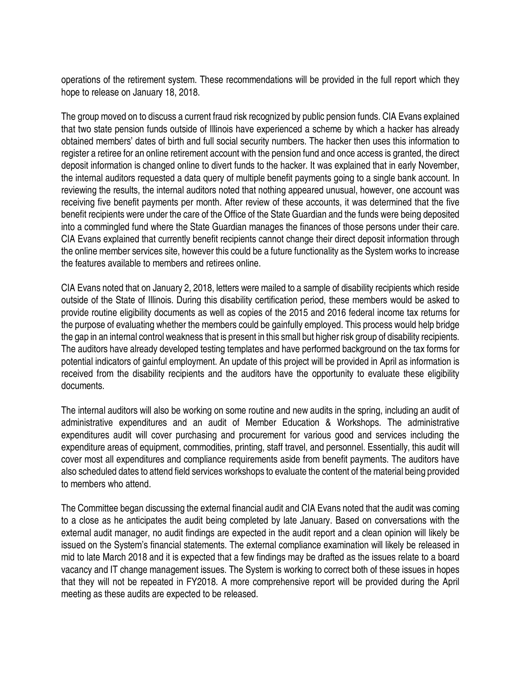operations of the retirement system. These recommendations will be provided in the full report which they hope to release on January 18, 2018.

The group moved on to discuss a current fraud risk recognized by public pension funds. CIA Evans explained that two state pension funds outside of Illinois have experienced a scheme by which a hacker has already obtained members' dates of birth and full social security numbers. The hacker then uses this information to register a retiree for an online retirement account with the pension fund and once access is granted, the direct deposit information is changed online to divert funds to the hacker. It was explained that in early November, the internal auditors requested a data query of multiple benefit payments going to a single bank account. In reviewing the results, the internal auditors noted that nothing appeared unusual, however, one account was receiving five benefit payments per month. After review of these accounts, it was determined that the five benefit recipients were under the care of the Office of the State Guardian and the funds were being deposited into a commingled fund where the State Guardian manages the finances of those persons under their care. CIA Evans explained that currently benefit recipients cannot change their direct deposit information through the online member services site, however this could be a future functionality as the System works to increase the features available to members and retirees online.

CIA Evans noted that on January 2, 2018, letters were mailed to a sample of disability recipients which reside outside of the State of Illinois. During this disability certification period, these members would be asked to provide routine eligibility documents as well as copies of the 2015 and 2016 federal income tax returns for the purpose of evaluating whether the members could be gainfully employed. This process would help bridge the gap in an internal control weakness that is present in this small but higher risk group of disability recipients. The auditors have already developed testing templates and have performed background on the tax forms for potential indicators of gainful employment. An update of this project will be provided in April as information is received from the disability recipients and the auditors have the opportunity to evaluate these eligibility documents.

The internal auditors will also be working on some routine and new audits in the spring, including an audit of administrative expenditures and an audit of Member Education & Workshops. The administrative expenditures audit will cover purchasing and procurement for various good and services including the expenditure areas of equipment, commodities, printing, staff travel, and personnel. Essentially, this audit will cover most all expenditures and compliance requirements aside from benefit payments. The auditors have also scheduled dates to attend field services workshops to evaluate the content of the material being provided to members who attend.

The Committee began discussing the external financial audit and CIA Evans noted that the audit was coming to a close as he anticipates the audit being completed by late January. Based on conversations with the external audit manager, no audit findings are expected in the audit report and a clean opinion will likely be issued on the System's financial statements. The external compliance examination will likely be released in mid to late March 2018 and it is expected that a few findings may be drafted as the issues relate to a board vacancy and IT change management issues. The System is working to correct both of these issues in hopes that they will not be repeated in FY2018. A more comprehensive report will be provided during the April meeting as these audits are expected to be released.